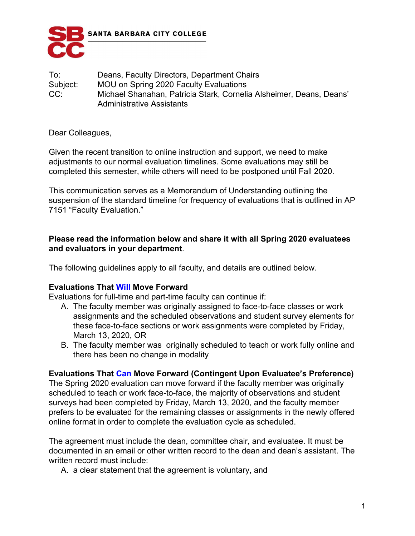

To: Deans, Faculty Directors, Department Chairs Subject: MOU on Spring 2020 Faculty Evaluations CC: Michael Shanahan, Patricia Stark, Cornelia Alsheimer, Deans, Deans' Administrative Assistants

Dear Colleagues,

Given the recent transition to online instruction and support, we need to make adjustments to our normal evaluation timelines. Some evaluations may still be completed this semester, while others will need to be postponed until Fall 2020.

This communication serves as a Memorandum of Understanding outlining the suspension of the standard timeline for frequency of evaluations that is outlined in AP 7151 "Faculty Evaluation."

### **Please read the information below and share it with all Spring 2020 evaluatees and evaluators in your department**.

The following guidelines apply to all faculty, and details are outlined below.

# **Evaluations That Will Move Forward**

Evaluations for full-time and part-time faculty can continue if:

- A. The faculty member was originally assigned to face-to-face classes or work assignments and the scheduled observations and student survey elements for these face-to-face sections or work assignments were completed by Friday, March 13, 2020, OR
- B. The faculty member was originally scheduled to teach or work fully online and there has been no change in modality

# **Evaluations That Can Move Forward (Contingent Upon Evaluatee's Preference)**

The Spring 2020 evaluation can move forward if the faculty member was originally scheduled to teach or work face-to-face, the majority of observations and student surveys had been completed by Friday, March 13, 2020, and the faculty member prefers to be evaluated for the remaining classes or assignments in the newly offered online format in order to complete the evaluation cycle as scheduled.

The agreement must include the dean, committee chair, and evaluatee. It must be documented in an email or other written record to the dean and dean's assistant. The written record must include:

A. a clear statement that the agreement is voluntary, and